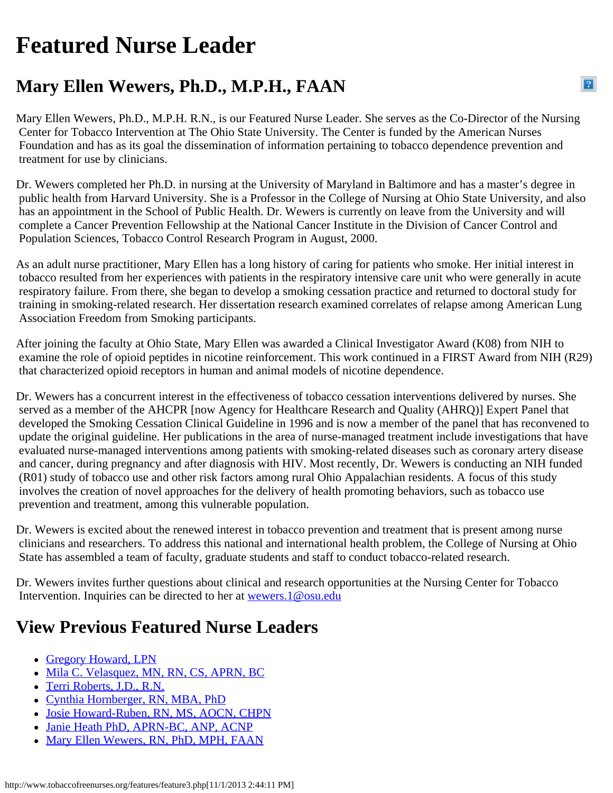## <span id="page-0-0"></span>**Featured Nurse Leader**

## **Mary Ellen Wewers, Ph.D., M.P.H., FAAN**

Mary Ellen Wewers, Ph.D., M.P.H. R.N., is our Featured Nurse Leader. She serves as the Co-Director of the Nursing Center for Tobacco Intervention at The Ohio State University. The Center is funded by the American Nurses Foundation and has as its goal the dissemination of information pertaining to tobacco dependence prevention and treatment for use by clinicians.

 $\overline{?}$ 

Dr. Wewers completed her Ph.D. in nursing at the University of Maryland in Baltimore and has a master's degree in public health from Harvard University. She is a Professor in the College of Nursing at Ohio State University, and also has an appointment in the School of Public Health. Dr. Wewers is currently on leave from the University and will complete a Cancer Prevention Fellowship at the National Cancer Institute in the Division of Cancer Control and Population Sciences, Tobacco Control Research Program in August, 2000.

As an adult nurse practitioner, Mary Ellen has a long history of caring for patients who smoke. Her initial interest in tobacco resulted from her experiences with patients in the respiratory intensive care unit who were generally in acute respiratory failure. From there, she began to develop a smoking cessation practice and returned to doctoral study for training in smoking-related research. Her dissertation research examined correlates of relapse among American Lung Association Freedom from Smoking participants.

After joining the faculty at Ohio State, Mary Ellen was awarded a Clinical Investigator Award (K08) from NIH to examine the role of opioid peptides in nicotine reinforcement. This work continued in a FIRST Award from NIH (R29) that characterized opioid receptors in human and animal models of nicotine dependence.

Dr. Wewers has a concurrent interest in the effectiveness of tobacco cessation interventions delivered by nurses. She served as a member of the AHCPR [now Agency for Healthcare Research and Quality (AHRQ)] Expert Panel that developed the Smoking Cessation Clinical Guideline in 1996 and is now a member of the panel that has reconvened to update the original guideline. Her publications in the area of nurse-managed treatment include investigations that have evaluated nurse-managed interventions among patients with smoking-related diseases such as coronary artery disease and cancer, during pregnancy and after diagnosis with HIV. Most recently, Dr. Wewers is conducting an NIH funded (R01) study of tobacco use and other risk factors among rural Ohio Appalachian residents. A focus of this study involves the creation of novel approaches for the delivery of health promoting behaviors, such as tobacco use prevention and treatment, among this vulnerable population.

Dr. Wewers is excited about the renewed interest in tobacco prevention and treatment that is present among nurse clinicians and researchers. To address this national and international health problem, the College of Nursing at Ohio State has assembled a team of faculty, graduate students and staff to conduct tobacco-related research.

Dr. Wewers invites further questions about clinical and research opportunities at the Nursing Center for Tobacco Intervention. Inquiries can be directed to her at [wewers.1@osu.edu](mailto:wewers.1@osu.edu)

## **View Previous Featured Nurse Leaders**

- [Gregory Howard, LPN](http://www.tobaccofreenurses.org/features/index.php)
- [Mila C. Velasquez, MN, RN, CS, APRN, BC](http://www.tobaccofreenurses.org/features/feature7.php)
- [Terri Roberts, J.D., R.N.](http://www.tobaccofreenurses.org/features/feature6.php)
- [Cynthia Hornberger, RN, MBA, PhD](http://www.tobaccofreenurses.org/features/feature5.php)
- [Josie Howard-Ruben, RN, MS, AOCN, CHPN](http://www.tobaccofreenurses.org/features/feature4.php)
- [Janie Heath PhD, APRN-BC, ANP, ACNP](http://www.tobaccofreenurses.org/features/feature2.php)
- [Mary Ellen Wewers, RN, PhD, MPH, FAAN](#page-0-0)